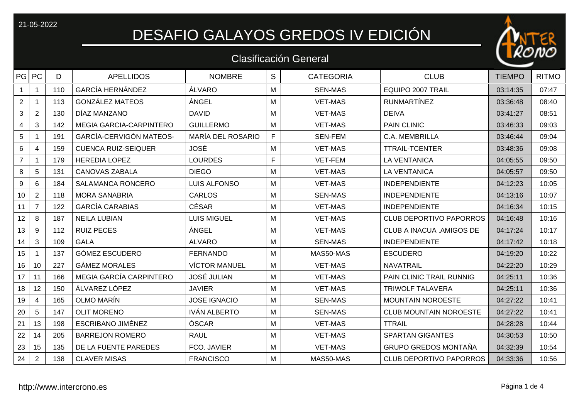## 21-05-2022<br>DESAFIO GALAYOS GREDOS IV EDICIÓN

## Clasificación General

| PG PC           |                | D   | <b>APELLIDOS</b>               | <b>NOMBRE</b>        | S            | <b>CATEGORIA</b> | <b>CLUB</b>                     | <b>TIEMPO</b> | <b>RITMO</b> |
|-----------------|----------------|-----|--------------------------------|----------------------|--------------|------------------|---------------------------------|---------------|--------------|
|                 | 1              | 110 | <b>GARCÍA HERNÁNDEZ</b>        | ÁLVARO               | M            | <b>SEN-MAS</b>   | <b>EQUIPO 2007 TRAIL</b>        | 03:14:35      | 07:47        |
| $\overline{2}$  |                | 113 | <b>GONZÁLEZ MATEOS</b>         | ÁNGEL                | M            | <b>VET-MAS</b>   | <b>RUNMARTÍNEZ</b>              | 03:36:48      | 08:40        |
| 3               | $\overline{2}$ | 130 | DIAZ MANZANO                   | <b>DAVID</b>         | M            | <b>VET-MAS</b>   | <b>DEIVA</b>                    | 03:41:27      | 08:51        |
| $\overline{4}$  | 3              | 142 | <b>MEGIA GARCIA-CARPINTERO</b> | <b>GUILLERMO</b>     | M            | <b>VET-MAS</b>   | <b>PAIN CLINIC</b>              | 03:46:33      | 09:03        |
| 5               |                | 191 | <b>GARCÍA-CERVIGÓN MATEOS-</b> | MARÍA DEL ROSARIO    | $\mathsf{F}$ | <b>SEN-FEM</b>   | C.A. MEMBRILLA                  | 03:46:44      | 09:04        |
| 6               | $\overline{4}$ | 159 | <b>CUENCA RUIZ-SEIQUER</b>     | <b>JOSÉ</b>          | M            | <b>VET-MAS</b>   | <b>TTRAIL-TCENTER</b>           | 03:48:36      | 09:08        |
| $\overline{7}$  | $\mathbf 1$    | 179 | <b>HEREDIA LOPEZ</b>           | <b>LOURDES</b>       | F            | VET-FEM          | <b>LA VENTANICA</b>             | 04:05:55      | 09:50        |
| 8               | 5              | 131 | <b>CANOVAS ZABALA</b>          | <b>DIEGO</b>         | M            | <b>VET-MAS</b>   | <b>LA VENTANICA</b>             | 04:05:57      | 09:50        |
| 9               | 6              | 184 | <b>SALAMANCA RONCERO</b>       | <b>LUIS ALFONSO</b>  | M            | <b>VET-MAS</b>   | <b>INDEPENDIENTE</b>            | 04:12:23      | 10:05        |
| 10              | $\overline{2}$ | 118 | <b>MORA SANABRIA</b>           | <b>CARLOS</b>        | M            | <b>SEN-MAS</b>   | <b>INDEPENDIENTE</b>            | 04:13:16      | 10:07        |
| 11              | $\overline{7}$ | 122 | <b>GARCÍA CARABIAS</b>         | <b>CÉSAR</b>         | M            | <b>VET-MAS</b>   | <b>INDEPENDIENTE</b>            | 04:16:34      | 10:15        |
| 12 <sub>2</sub> | 8              | 187 | <b>NEILA LUBIAN</b>            | <b>LUIS MIGUEL</b>   | M            | <b>VET-MAS</b>   | <b>CLUB DEPORTIVO PAPORROS</b>  | 04:16:48      | 10:16        |
| 13              | 9              | 112 | <b>RUIZ PECES</b>              | ÁNGEL                | M            | <b>VET-MAS</b>   | <b>CLUB A INACUA .AMIGOS DE</b> | 04:17:24      | 10:17        |
| 14              | 3              | 109 | <b>GALA</b>                    | <b>ALVARO</b>        | M            | <b>SEN-MAS</b>   | <b>INDEPENDIENTE</b>            | 04:17:42      | 10:18        |
| 15              |                | 137 | <b>GÓMEZ ESCUDERO</b>          | <b>FERNANDO</b>      | M            | MAS50-MAS        | <b>ESCUDERO</b>                 | 04:19:20      | 10:22        |
| 16              | 10             | 227 | <b>GÁMEZ MORALES</b>           | <b>VÍCTOR MANUEL</b> | M            | <b>VET-MAS</b>   | <b>NAVATRAIL</b>                | 04:22:20      | 10:29        |
| 17              | 11             | 166 | MEGIA GARCÍA CARPINTERO        | <b>JOSÉ JULIAN</b>   | M            | <b>VET-MAS</b>   | PAIN CLINIC TRAIL RUNNIG        | 04:25:11      | 10:36        |
| 18              | 12             | 150 | ÁLVAREZ LÓPEZ                  | <b>JAVIER</b>        | M            | <b>VET-MAS</b>   | <b>TRIWOLF TALAVERA</b>         | 04:25:11      | 10:36        |
| 19              | 4              | 165 | <b>OLMO MARÍN</b>              | <b>JOSE IGNACIO</b>  | M            | <b>SEN-MAS</b>   | <b>MOUNTAIN NOROESTE</b>        | 04:27:22      | 10:41        |
| 20              | 5              | 147 | <b>OLIT MORENO</b>             | <b>IVÁN ALBERTO</b>  | M            | <b>SEN-MAS</b>   | <b>CLUB MOUNTAIN NOROESTE</b>   | 04:27:22      | 10:41        |
| 21              | 13             | 198 | <b>ESCRIBANO JIMÉNEZ</b>       | ÓSCAR                | M            | <b>VET-MAS</b>   | <b>TTRAIL</b>                   | 04:28:28      | 10:44        |
| 22              | 14             | 205 | <b>BARREJON ROMERO</b>         | <b>RAUL</b>          | M            | <b>VET-MAS</b>   | <b>SPARTAN GIGANTES</b>         | 04:30:53      | 10:50        |
| 23              | 15             | 135 | DE LA FUENTE PAREDES           | FCO. JAVIER          | M            | <b>VET-MAS</b>   | <b>GRUPO GREDOS MONTAÑA</b>     | 04:32:39      | 10:54        |
| 24              | $\overline{2}$ | 138 | <b>CLAVER MISAS</b>            | <b>FRANCISCO</b>     | M            | MAS50-MAS        | <b>CLUB DEPORTIVO PAPORROS</b>  | 04:33:36      | 10:56        |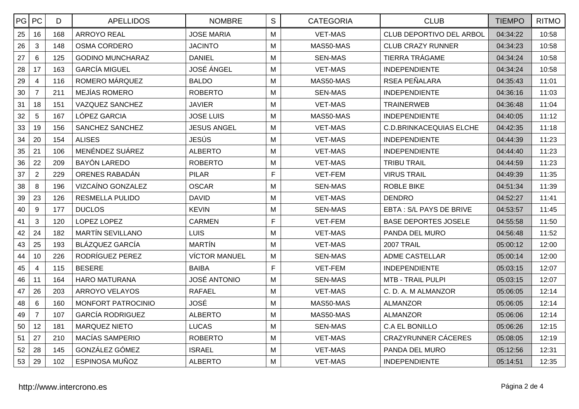| PG PC |                | D   | <b>APELLIDOS</b>        | <b>NOMBRE</b>        | $\mathsf S$ | <b>CATEGORIA</b> | <b>CLUB</b>                    | <b>TIEMPO</b> | <b>RITMO</b> |
|-------|----------------|-----|-------------------------|----------------------|-------------|------------------|--------------------------------|---------------|--------------|
| 25    | 16             | 168 | <b>ARROYO REAL</b>      | <b>JOSE MARIA</b>    | M           | <b>VET-MAS</b>   | CLUB DEPORTIVO DEL ARBOL       | 04:34:22      | 10:58        |
| 26    | 3              | 148 | <b>OSMA CORDERO</b>     | <b>JACINTO</b>       | M           | MAS50-MAS        | <b>CLUB CRAZY RUNNER</b>       | 04:34:23      | 10:58        |
| 27    | 6              | 125 | <b>GODINO MUNCHARAZ</b> | <b>DANIEL</b>        | M           | <b>SEN-MAS</b>   | <b>TIERRA TRÁGAME</b>          | 04:34:24      | 10:58        |
| 28    | 17             | 163 | <b>GARCÍA MIGUEL</b>    | <b>JOSÉ ÁNGEL</b>    | M           | <b>VET-MAS</b>   | <b>INDEPENDIENTE</b>           | 04:34:24      | 10:58        |
| 29    | $\overline{4}$ | 116 | ROMERO MÁRQUEZ          | <b>BALDO</b>         | M           | MAS50-MAS        | RSEA PEÑALARA                  | 04:35:43      | 11:01        |
| 30    | $\overline{7}$ | 211 | MEJÍAS ROMERO           | <b>ROBERTO</b>       | M           | <b>SEN-MAS</b>   | <b>INDEPENDIENTE</b>           | 04:36:16      | 11:03        |
| 31    | 18             | 151 | <b>VAZQUEZ SANCHEZ</b>  | <b>JAVIER</b>        | M           | <b>VET-MAS</b>   | <b>TRAINERWEB</b>              | 04:36:48      | 11:04        |
| 32    | 5              | 167 | LÓPEZ GARCIA            | <b>JOSE LUIS</b>     | M           | MAS50-MAS        | <b>INDEPENDIENTE</b>           | 04:40:05      | 11:12        |
| 33    | 19             | 156 | SANCHEZ SANCHEZ         | JESUS ANGEL          | M           | <b>VET-MAS</b>   | <b>C.D.BRINKACEQUIAS ELCHE</b> | 04:42:35      | 11:18        |
| 34    | 20             | 154 | <b>ALISES</b>           | JESÚS                | M           | <b>VET-MAS</b>   | <b>INDEPENDIENTE</b>           | 04:44:39      | 11:23        |
| 35    | 21             | 106 | MENÉNDEZ SUÁREZ         | <b>ALBERTO</b>       | M           | <b>VET-MAS</b>   | <b>INDEPENDIENTE</b>           | 04:44:40      | 11:23        |
| 36    | 22             | 209 | <b>BAYÓN LAREDO</b>     | <b>ROBERTO</b>       | M           | <b>VET-MAS</b>   | <b>TRIBU TRAIL</b>             | 04:44:59      | 11:23        |
| 37    | $\overline{2}$ | 229 | ORENES RABADÁN          | <b>PILAR</b>         | F           | <b>VET-FEM</b>   | <b>VIRUS TRAIL</b>             | 04:49:39      | 11:35        |
| 38    | 8              | 196 | VIZCAÍNO GONZALEZ       | <b>OSCAR</b>         | M           | <b>SEN-MAS</b>   | <b>ROBLE BIKE</b>              | 04:51:34      | 11:39        |
| 39    | 23             | 126 | <b>RESMELLA PULIDO</b>  | <b>DAVID</b>         | M           | <b>VET-MAS</b>   | <b>DENDRO</b>                  | 04:52:27      | 11:41        |
| 40    | 9              | 177 | <b>DUCLOS</b>           | <b>KEVIN</b>         | M           | <b>SEN-MAS</b>   | EBTA: S/L PAYS DE BRIVE        | 04:53:57      | 11:45        |
| 41    | 3              | 120 | LOPEZ LOPEZ             | <b>CARMEN</b>        | F           | VET-FEM          | <b>BASE DEPORTES JOSELE</b>    | 04:55:58      | 11:50        |
| 42    | 24             | 182 | <b>MARTÍN SEVILLANO</b> | <b>LUIS</b>          | M           | <b>VET-MAS</b>   | PANDA DEL MURO                 | 04:56:48      | 11:52        |
| 43    | 25             | 193 | <b>BLÁZQUEZ GARCÍA</b>  | <b>MARTÍN</b>        | M           | <b>VET-MAS</b>   | <b>2007 TRAIL</b>              | 05:00:12      | 12:00        |
| 44    | 10             | 226 | RODRÍGUEZ PEREZ         | <b>VÍCTOR MANUEL</b> | M           | <b>SEN-MAS</b>   | <b>ADME CASTELLAR</b>          | 05:00:14      | 12:00        |
| 45    | $\overline{4}$ | 115 | <b>BESERE</b>           | <b>BAIBA</b>         | $\mathsf F$ | VET-FEM          | <b>INDEPENDIENTE</b>           | 05:03:15      | 12:07        |
| 46    | 11             | 164 | <b>HARO MATURANA</b>    | <b>JOSÉ ANTONIO</b>  | M           | <b>SEN-MAS</b>   | <b>MTB - TRAIL PULPI</b>       | 05:03:15      | 12:07        |
| 47    | 26             | 203 | <b>ARROYO VELAYOS</b>   | <b>RAFAEL</b>        | M           | <b>VET-MAS</b>   | C. D. A. M ALMANZOR            | 05:06:05      | 12:14        |
| 48    | 6              | 160 | MONFORT PATROCINIO      | <b>JOSÉ</b>          | Μ           | MAS50-MAS        | <b>ALMANZOR</b>                | 05:06:05      | 12:14        |
| 49    | $\overline{7}$ | 107 | <b>GARCÍA RODRIGUEZ</b> | <b>ALBERTO</b>       | M           | MAS50-MAS        | <b>ALMANZOR</b>                | 05:06:06      | 12:14        |
| 50    | 12             | 181 | <b>MARQUEZ NIETO</b>    | <b>LUCAS</b>         | M           | <b>SEN-MAS</b>   | <b>C.A EL BONILLO</b>          | 05:06:26      | 12:15        |
| 51    | 27             | 210 | MACÍAS SAMPERIO         | <b>ROBERTO</b>       | M           | <b>VET-MAS</b>   | <b>CRAZYRUNNER CÁCERES</b>     | 05:08:05      | 12:19        |
| 52    | 28             | 145 | GONZÁLEZ GÓMEZ          | <b>ISRAEL</b>        | M           | <b>VET-MAS</b>   | PANDA DEL MURO                 | 05:12:56      | 12:31        |
| 53    | 29             | 102 | ESPINOSA MUÑOZ          | <b>ALBERTO</b>       | M           | <b>VET-MAS</b>   | <b>INDEPENDIENTE</b>           | 05:14:51      | 12:35        |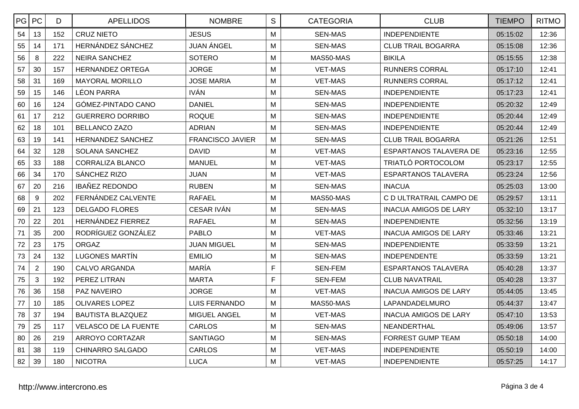| PG PC |                | D   | <b>APELLIDOS</b>            | <b>NOMBRE</b>           | S | <b>CATEGORIA</b> | <b>CLUB</b>                   | <b>TIEMPO</b> | <b>RITMO</b> |
|-------|----------------|-----|-----------------------------|-------------------------|---|------------------|-------------------------------|---------------|--------------|
| 54    | 13             | 152 | <b>CRUZ NIETO</b>           | <b>JESUS</b>            | M | <b>SEN-MAS</b>   | <b>INDEPENDIENTE</b>          | 05:15:02      | 12:36        |
| 55    | 14             | 171 | HERNÁNDEZ SÁNCHEZ           | <b>JUAN ÁNGEL</b>       | M | <b>SEN-MAS</b>   | <b>CLUB TRAIL BOGARRA</b>     | 05:15:08      | 12:36        |
| 56    | 8              | 222 | NEIRA SANCHEZ               | <b>SOTERO</b>           | M | MAS50-MAS        | <b>BIKILA</b>                 | 05:15:55      | 12:38        |
| 57    | 30             | 157 | <b>HERNANDEZ ORTEGA</b>     | <b>JORGE</b>            | M | <b>VET-MAS</b>   | <b>RUNNERS CORRAL</b>         | 05:17:10      | 12:41        |
| 58    | 31             | 169 | <b>MAYORAL MORILLO</b>      | <b>JOSE MARIA</b>       | M | <b>VET-MAS</b>   | <b>RUNNERS CORRAL</b>         | 05:17:12      | 12:41        |
| 59    | 15             | 146 | <b>LÉON PARRA</b>           | <b>IVÁN</b>             | M | <b>SEN-MAS</b>   | <b>INDEPENDIENTE</b>          | 05:17:23      | 12:41        |
| 60    | 16             | 124 | GÓMEZ-PINTADO CANO          | <b>DANIEL</b>           | M | <b>SEN-MAS</b>   | <b>INDEPENDIENTE</b>          | 05:20:32      | 12:49        |
| 61    | 17             | 212 | <b>GUERRERO DORRIBO</b>     | <b>ROQUE</b>            | M | <b>SEN-MAS</b>   | <b>INDEPENDIENTE</b>          | 05:20:44      | 12:49        |
| 62    | 18             | 101 | <b>BELLANCO ZAZO</b>        | <b>ADRIAN</b>           | M | <b>SEN-MAS</b>   | <b>INDEPENDIENTE</b>          | 05:20:44      | 12:49        |
| 63    | 19             | 141 | HERNANDEZ SANCHEZ           | <b>FRANCISCO JAVIER</b> | M | <b>SEN-MAS</b>   | <b>CLUB TRAIL BOGARRA</b>     | 05:21:26      | 12:51        |
| 64    | 32             | 128 | <b>SOLANA SANCHEZ</b>       | <b>DAVID</b>            | M | <b>VET-MAS</b>   | <b>ESPARTANOS TALAVERA DE</b> | 05:23:16      | 12:55        |
| 65    | 33             | 188 | <b>CORRALIZA BLANCO</b>     | <b>MANUEL</b>           | M | <b>VET-MAS</b>   | TRIATLÓ PORTOCOLOM            | 05:23:17      | 12:55        |
| 66    | 34             | 170 | SÁNCHEZ RIZO                | <b>JUAN</b>             | M | <b>VET-MAS</b>   | <b>ESPARTANOS TALAVERA</b>    | 05:23:24      | 12:56        |
| 67    | 20             | 216 | <b>IBAÑEZ REDONDO</b>       | <b>RUBEN</b>            | M | <b>SEN-MAS</b>   | <b>INACUA</b>                 | 05:25:03      | 13:00        |
| 68    | 9              | 202 | FERNÁNDEZ CALVENTE          | RAFAEL                  | M | MAS50-MAS        | C D ULTRATRAIL CAMPO DE       | 05:29:57      | 13:11        |
| 69    | 21             | 123 | <b>DELGADO FLORES</b>       | <b>CESAR IVÁN</b>       | M | <b>SEN-MAS</b>   | <b>INACUA AMIGOS DE LARY</b>  | 05:32:10      | 13:17        |
| 70    | 22             | 201 | HERNÁNDEZ FIERREZ           | <b>RAFAEL</b>           | M | <b>SEN-MAS</b>   | <b>INDEPENDIENTE</b>          | 05:32:56      | 13:19        |
| 71    | 35             | 200 | RODRÍGUEZ GONZÁLEZ          | <b>PABLO</b>            | M | <b>VET-MAS</b>   | INACUA AMIGOS DE LARY         | 05:33:46      | 13:21        |
| 72    | 23             | 175 | <b>ORGAZ</b>                | <b>JUAN MIGUEL</b>      | M | <b>SEN-MAS</b>   | <b>INDEPENDIENTE</b>          | 05:33:59      | 13:21        |
| 73    | 24             | 132 | <b>LUGONES MARTÍN</b>       | <b>EMILIO</b>           | M | <b>SEN-MAS</b>   | <b>INDEPENDENTE</b>           | 05:33:59      | 13:21        |
| 74    | $\overline{2}$ | 190 | <b>CALVO ARGANDA</b>        | <b>MARÍA</b>            | F | <b>SEN-FEM</b>   | <b>ESPARTANOS TALAVERA</b>    | 05:40:28      | 13:37        |
| 75    | 3              | 192 | PEREZ LITRAN                | <b>MARTA</b>            | F | <b>SEN-FEM</b>   | <b>CLUB NAVATRAIL</b>         | 05:40:28      | 13:37        |
| 76    | 36             | 158 | <b>PAZ NAVEIRO</b>          | <b>JORGE</b>            | M | <b>VET-MAS</b>   | INACUA AMIGOS DE LARY         | 05:44:05      | 13:45        |
| 77    | 10             | 185 | OLIVARES LOPEZ              | <b>LUIS FERNANDO</b>    | M | MAS50-MAS        | LAPANDADELMURO                | 05:44:37      | 13:47        |
| 78    | 37             | 194 | <b>BAUTISTA BLAZQUEZ</b>    | MIGUEL ANGEL            | M | <b>VET-MAS</b>   | <b>INACUA AMIGOS DE LARY</b>  | 05:47:10      | 13:53        |
| 79    | 25             | 117 | <b>VELASCO DE LA FUENTE</b> | <b>CARLOS</b>           | M | <b>SEN-MAS</b>   | NEANDERTHAL                   | 05:49:06      | 13:57        |
| 80    | 26             | 219 | ARROYO CORTAZAR             | <b>SANTIAGO</b>         | M | <b>SEN-MAS</b>   | <b>FORREST GUMP TEAM</b>      | 05:50:18      | 14:00        |
| 81    | 38             | 119 | <b>CHINARRO SALGADO</b>     | <b>CARLOS</b>           | M | <b>VET-MAS</b>   | <b>INDEPENDIENTE</b>          | 05:50:19      | 14:00        |
| 82    | 39             | 180 | <b>NICOTRA</b>              | <b>LUCA</b>             | M | <b>VET-MAS</b>   | <b>INDEPENDIENTE</b>          | 05:57:25      | 14:17        |